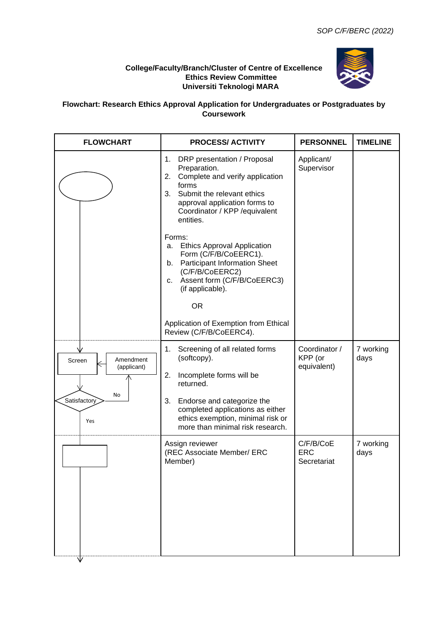## **College/Faculty/Branch/Cluster of Centre of Excellence Ethics Review Committee Universiti Teknologi MARA**



## **Flowchart: Research Ethics Approval Application for Undergraduates or Postgraduates by Coursework**

| <b>FLOWCHART</b>                                                | <b>PROCESS/ ACTIVITY</b>                                                                                                                                                                                                                                                  | <b>PERSONNEL</b>                        | <b>TIMELINE</b>   |
|-----------------------------------------------------------------|---------------------------------------------------------------------------------------------------------------------------------------------------------------------------------------------------------------------------------------------------------------------------|-----------------------------------------|-------------------|
|                                                                 | 1.<br>DRP presentation / Proposal<br>Preparation.<br>Complete and verify application<br>2.<br>forms<br>3.<br>Submit the relevant ethics<br>approval application forms to<br>Coordinator / KPP / equivalent<br>entities.                                                   | Applicant/<br>Supervisor                |                   |
|                                                                 | Forms:<br><b>Ethics Approval Application</b><br>а.<br>Form (C/F/B/CoEERC1).<br>b. Participant Information Sheet<br>(C/F/B/CoEERC2)<br>c. Assent form (C/F/B/CoEERC3)<br>(if applicable).<br><b>OR</b><br>Application of Exemption from Ethical<br>Review (C/F/B/CoEERC4). |                                         |                   |
| Amendment<br>Screen<br>(applicant)<br>No<br>Satisfactory<br>Yes | Screening of all related forms<br>1.<br>(softcopy).<br>2.<br>Incomplete forms will be<br>returned.<br>3.<br>Endorse and categorize the<br>completed applications as either<br>ethics exemption, minimal risk or<br>more than minimal risk research.                       | Coordinator /<br>KPP (or<br>equivalent) | 7 working<br>days |
|                                                                 | Assign reviewer<br>(REC Associate Member/ ERC<br>Member)                                                                                                                                                                                                                  | C/F/B/CoE<br><b>ERC</b><br>Secretariat  | 7 working<br>days |